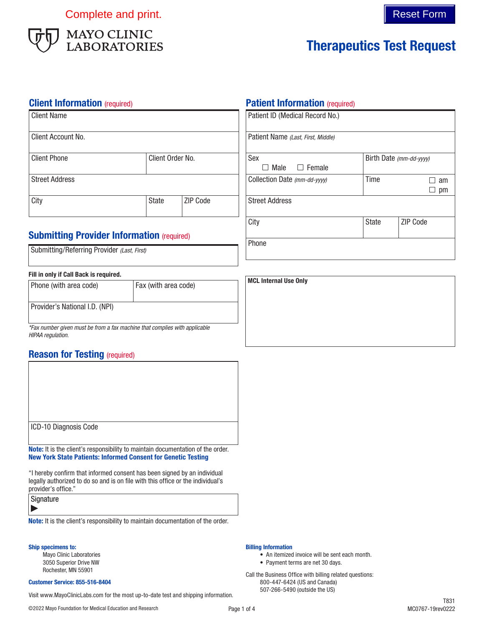Complete and print. Complete and print.



# Therapeutics Test Request

### **Client Information** (required)

| <b>Client Name</b>    |                  |                 |
|-----------------------|------------------|-----------------|
| Client Account No.    |                  |                 |
| <b>Client Phone</b>   | Client Order No. |                 |
| <b>Street Address</b> |                  |                 |
| City                  | <b>State</b>     | <b>ZIP Code</b> |

## **Submitting Provider Information (required)**

| Submitting/Referring Provider (Last, First) |  |  |  |
|---------------------------------------------|--|--|--|
|---------------------------------------------|--|--|--|

### Fill in only if Call Back is required.

| Phone (with area code)         | Fax (with area code) |
|--------------------------------|----------------------|
|                                |                      |
| Provider's National I.D. (NPI) |                      |
|                                |                      |

*\*Fax number given must be from a fax machine that complies with applicable HIPAA regulation.*

### **Reason for Testing (required)**



Note: It is the client's responsibility to maintain documentation of the order. New York State Patients: Informed Consent for Genetic Testing

"I hereby confirm that informed consent has been signed by an individual legally authorized to do so and is on file with this office or the individual's provider's office."

| Signature |  |
|-----------|--|
|           |  |

Note: It is the client's responsibility to maintain documentation of the order.

#### Ship specimens to:

Mayo Clinic Laboratories 3050 Superior Drive NW Rochester, MN 55901

### Customer Service: 855-516-8404

507-266-5490 (outside the US) Visit www.MayoClinicLabs.com for the most up-to-date test and shipping information.

## **Patient Information** (required)

| Patient ID (Medical Record No.)    |       |                         |
|------------------------------------|-------|-------------------------|
| Patient Name (Last, First, Middle) |       |                         |
| Sex<br>Male $\Box$ Female          |       | Birth Date (mm-dd-yyyy) |
| Collection Date (mm-dd-yyyy)       | Time  | am<br>pm                |
| <b>Street Address</b>              |       |                         |
| City                               | State | ZIP Code                |
| Phone                              |       |                         |

| <b>MCL Internal Use Only</b> |
|------------------------------|
|                              |
|                              |
|                              |
|                              |
|                              |

#### Billing Information

- An itemized invoice will be sent each month.
- Payment terms are net 30 days.

Call the Business Office with billing related questions: 800-447-6424 (US and Canada)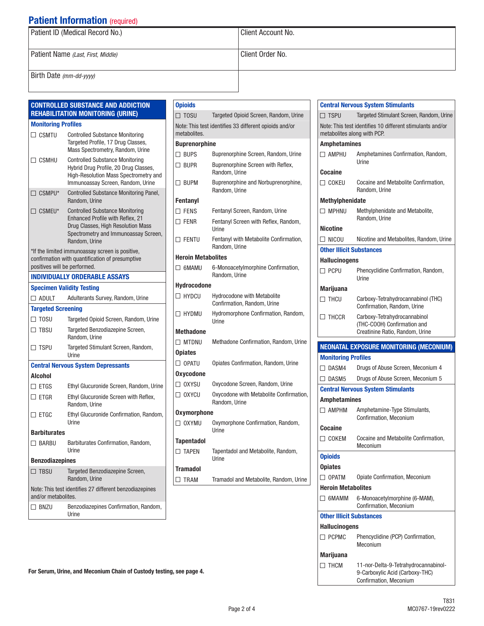### **Patient Information (required)**

| Patient ID (Medical Record No.)    | Client Account No. |  |
|------------------------------------|--------------------|--|
| Patient Name (Last, First, Middle) | Client Order No.   |  |
| Birth Date $(mm$ -dd-yyyy)         |                    |  |

#### CONTROLLED SUBSTANCE AND ADDICTION REHABILITATION MONITORING (URINE) Monitoring Profiles □ CSMTU Controlled Substance Monitoring Targeted Profile, 17 Drug Classes, Mass Spectrometry, Random, Urine □ CSMHU Controlled Substance Monitoring Hybrid Drug Profile, 20 Drug Classes, High-Resolution Mass Spectrometry and Immunoassay Screen, Random, Urine □ CSMPU<sup>\*</sup> Controlled Substance Monitoring Panel, Random, Urine □ CSMEU<sup>\*</sup> Controlled Substance Monitoring Enhanced Profile with Reflex, 21 Drug Classes, High Resolution Mass Spectrometry and Immunoassay Screen, Random, Urine \*If the limited immunoassay screen is positive, confirmation with quantification of presumptive positives will be performed. INDIVIDUALLY ORDERABLE ASSAYS Specimen Validity Testing □ ADULT Adulterants Survey, Random, Urine Targeted Screening □ TOSU Targeted Opioid Screen, Random, Urine □ TBSU Targeted Benzodiazepine Screen, Random, Urine TSPU Targeted Stimulant Screen, Random, Urine Central Nervous System Depressants Alcohol □ ETGS Ethyl Glucuronide Screen, Random, Urine  $\Box$  ETGR Ethyl Glucuronide Screen with Reflex, Random, Urine □ ETGC Ethyl Glucuronide Confirmation, Random, Urine **Barbiturates** BARBU Barbiturates Confirmation, Random, Urine Benzodiazepines □ TBSU Targeted Benzodiazepine Screen, Random, Urine Note: This test identifies 27 different benzodiazepines and/or metabolites*.*  $\Box$  BNZU Benzodiazepines Confirmation, Random, Urine

| <b>Opioids</b>            |                                                                   |
|---------------------------|-------------------------------------------------------------------|
| $\Box$ TOSU               | Targeted Opioid Screen, Random, Urine                             |
| metabolites.              | Note: This test identifies 33 different opioids and/or            |
| <b>Buprenorphine</b>      |                                                                   |
| $\Box$ Bups               | Buprenorphine Screen, Random, Urine                               |
| $\Box$ BUPR               | Buprenorphine Screen with Reflex,<br>Random, Urine                |
| $\Box$ BUPM               | Buprenorphine and Norbuprenorphine,<br>Random, Urine              |
| Fentanyl                  |                                                                   |
| $\Box$ FENS               | Fentanyl Screen, Random, Urine                                    |
| $\Box$ FENR               | Fentanyl Screen with Reflex, Random,<br>Urine                     |
| $\Box$ Fentu              | Fentanyl with Metabolite Confirmation,<br>Random, Urine           |
| <b>Heroin Metabolites</b> |                                                                   |
| $\Box$ 6MAMU              | 6-Monoacetylmorphine Confirmation,<br>Random, Urine               |
| <b>Hydrocodone</b>        |                                                                   |
| $\Box$ HYDCU              | <b>Hydrocodone with Metabolite</b><br>Confirmation, Random, Urine |
| $\Box$ HYDMU              | Hydromorphone Confirmation, Random,<br>Urine                      |
| <b>Methadone</b>          |                                                                   |
| $\Box$ MTDNU              | Methadone Confirmation, Random, Urine                             |
| <b>Opiates</b>            |                                                                   |
| $\Box$ OPATU              | Opiates Confirmation, Random, Urine                               |
| <b>Oxycodone</b>          |                                                                   |
| $\Box$ OXYSU              | Oxycodone Screen, Random, Urine                                   |
| $\Box$ OXYCU              | Oxycodone with Metabolite Confirmation,<br>Random, Urine          |
| Oxymorphone               |                                                                   |
| $\Box$ OXYMU              | Oxymorphone Confirmation, Random,<br>Urine                        |
| <b>Tapentadol</b>         |                                                                   |
| $\Box$ TAPEN              | Tapentadol and Metabolite, Random,<br>Urine                       |
| <b>Tramadol</b>           |                                                                   |
| $\Box$ TRAM               | Tramadol and Metabolite, Random, Urine                            |
|                           |                                                                   |

Central Nervous System Stimulants □ TSPU Targeted Stimulant Screen, Random, Urine Note: This test identifies 10 different stimulants and/or metabolites along with PCP. Amphetamines AMPHU Amphetamines Confirmation, Random, Urine Cocaine COKEU Cocaine and Metabolite Confirmation, Random, Urine Methylphenidate  $\Box$  MPHNU Methylphenidate and Metabolite, Random, Urine Nicotine  $\Box$  NICOU Nicotine and Metabolites, Random, Urine Other Illicit Substances Hallucinogens **PCPU** Phencyclidine Confirmation, Random, Urine **Marijuana**  $\Box$  THCU Carboxy-Tetrahydrocannabinol (THC) Confirmation, Random, Urine THCCR Carboxy-Tetrahydrocannabinol (THC-COOH) Confirmation and Creatinine Ratio, Random, Urine NEONATAL EXPOSURE MONITORING (MECONIUM) Monitoring Profiles □ DASM4 Drugs of Abuse Screen, Meconium 4 DASM5 Drugs of Abuse Screen, Meconium 5 Central Nervous System Stimulants Amphetamines  $\Box$  AMPHM Amphetamine-Type Stimulants, Confirmation, Meconium Cocaine COKEM Cocaine and Metabolite Confirmation, Meconium **Opioids Opiates** OPATM Opiate Confirmation, Meconium Heroin Metabolites  $\Box$  6MAMM 6-Monoacetylmorphine (6-MAM), Confirmation, Meconium Other Illicit Substances Hallucinogens PCPMC Phencyclidine (PCP) Confirmation, Meconium Marijuana □ THCM 11-nor-Delta-9-Tetrahydrocannabinol-9-Carboxylic Acid (Carboxy-THC)

Confirmation, Meconium

For Serum, Urine, and Meconium Chain of Custody testing, see page 4.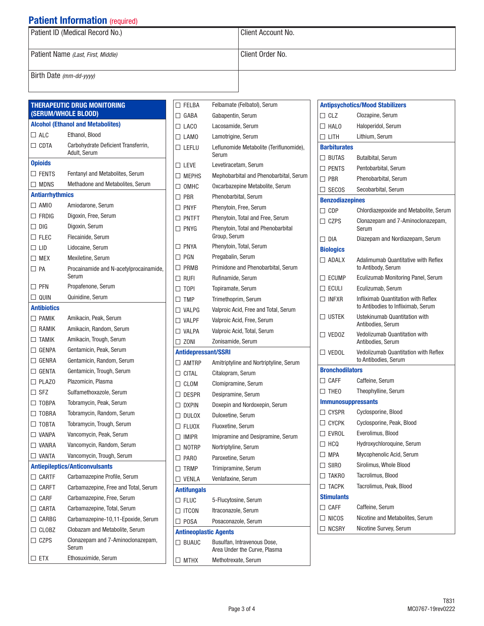# **Patient Information** (required)

| Patient ID (Medical Record No.)    | Client Account No. |
|------------------------------------|--------------------|
| Patient Name (Last, First, Middle) | Client Order No.   |
| Birth Date (mm-dd-yyyy)            |                    |

| <b>THERAPEUTIC DRUG MONITORING</b> |                        |                                                     |
|------------------------------------|------------------------|-----------------------------------------------------|
|                                    |                        | (SERUM/WHOLE BLOOD)                                 |
|                                    |                        | <b>Alcohol (Ethanol and Metabolites)</b>            |
|                                    | $\Box$ ALC             | Ethanol, Blood                                      |
|                                    | $\Box$ CDTA            | Carbohydrate Deficient Transferrin,<br>Adult, Serum |
|                                    | <b>Opioids</b>         |                                                     |
|                                    | $\square$ Fents        | Fentanyl and Metabolites, Serum                     |
|                                    | $\square$ mdns         | Methadone and Metabolites, Serum                    |
|                                    | <b>Antiarrhythmics</b> |                                                     |
|                                    | $\Box$ AMIO            | Amiodarone, Serum                                   |
|                                    | $\Box$ frdig           | Digoxin, Free, Serum                                |
|                                    | $\Box$ dig             | Digoxin, Serum                                      |
|                                    | $\Box$ Flec            | Flecainide, Serum                                   |
|                                    | LJ LID                 | Lidocaine, Serum                                    |
|                                    | $\Box$ MFX             | Mexiletine, Serum                                   |
|                                    | $\Box$ PA              | Procainamide and N-acetylprocainamide,<br>Serum     |
|                                    | □ PFN                  | Propafenone, Serum                                  |
|                                    | $\square$ quin         | Quinidine, Serum                                    |
|                                    | <b>Antibiotics</b>     |                                                     |
|                                    | $\Box$ PAMIK           | Amikacin, Peak, Serum                               |
|                                    | $\Box$ RAMIK           | Amikacin, Random, Serum                             |
|                                    | $\Box$ TAMIK           | Amikacin, Trough, Serum                             |
|                                    | $\Box$ genpa           | Gentamicin, Peak, Serum                             |
|                                    | $\Box$ genra           | Gentamicin, Random, Serum                           |
|                                    | $\Box$ genta           | Gentamicin, Trough, Serum                           |
|                                    | $\Box$ PLAZO           | Plazomicin, Plasma                                  |
|                                    | $\Box$ SFZ             | Sulfamethoxazole, Serum                             |
|                                    | $\Box$ TOBPA           | Tobramycin, Peak, Serum                             |
|                                    | $\Box$ TOBRA           | Tobramycin, Random, Serum                           |
|                                    | $\Box$ tobta           | Tobramycin, Trough, Serum                           |
|                                    | $\Box$ VANPA           | Vancomycin, Peak, Serum                             |
|                                    | $\Box$ VANRA           | Vancomycin, Random, Serum                           |
|                                    | $\Box$ VANTA           | Vancomycin, Trough, Serum                           |
|                                    |                        | <b>Antiepileptics/Anticonvulsants</b>               |
|                                    | $\Box$ CARTF           | Carbamazepine Profile, Serum                        |
|                                    | $\Box$ CARFT           | Carbamazepine, Free and Total, Serum                |
|                                    | $\Box$ carf            | Carbamazepine, Free, Serum                          |
|                                    | $\Box$ Carta           | Carbamazepine, Total, Serum                         |
|                                    | $\Box$ CARBG           | Carbamazepine-10,11-Epoxide, Serum                  |
|                                    | $\Box$ CLOBZ           | Clobazam and Metabolite, Serum                      |
|                                    | $\Box$ CZPS            | Clonazepam and 7-Aminoclonazepam,                   |
|                                    |                        | Serum                                               |
|                                    | $\Box$ etx             | Ethosuximide, Serum                                 |

| $\Box$ FELBA                 | Felbamate (Felbatol), Serum                                 |
|------------------------------|-------------------------------------------------------------|
| $\Box$ GABA                  | Gabapentin, Serum                                           |
| $\Box$ LACO                  | Lacosamide, Serum                                           |
| $\Box$ LAMO                  | Lamotrigine, Serum                                          |
| $\Box$ Leflu                 | Leflunomide Metabolite (Teriflunomide),<br>Serum            |
| $\Box$ Leve                  | Levetiracetam, Serum                                        |
| $\Box$ MEPHS                 | Mephobarbital and Phenobarbital, Serum                      |
| $\Box$ OMHC                  | Oxcarbazepine Metabolite, Serum                             |
| $\Box$ PBR                   | Phenobarbital, Serum                                        |
| $\Box$ PNYF                  | Phenytoin, Free, Serum                                      |
| $\Box$ PNTFT                 | Phenytoin, Total and Free, Serum                            |
| $\Box$ PNYG                  | Phenytoin, Total and Phenobarbital<br>Group, Serum          |
| $\Box$ PNYA                  | Phenytoin, Total, Serum                                     |
| $\Box$ PGN                   | Pregabalin, Serum                                           |
| $\Box$ PRMB                  | Primidone and Phenobarbital, Serum                          |
| $\Box$ Rufi                  | Rufinamide, Serum                                           |
| $\Box$ topi                  | Topiramate, Serum                                           |
| $\Box$ TMP                   | Trimethoprim, Serum                                         |
| $\Box$ VALPG                 | Valproic Acid, Free and Total, Serum                        |
| $\Box$ VAI PF                | Valproic Acid, Free, Serum                                  |
| □ VALPA                      | Valproic Acid, Total, Serum                                 |
| $\Box$ ZONI                  | Zonisamide, Serum                                           |
| <b>Antidepressant/SSRI</b>   |                                                             |
| $\Box$ AMTRP                 | Amitriptyline and Nortriptyline, Serum                      |
| $\Box$ cital                 | Citalopram, Serum                                           |
| $\Box$ CLOM                  | Clomipramine, Serum                                         |
| $\Box$ despr                 | Desipramine, Serum                                          |
| $\Box$ DXPIN                 | Doxepin and Nordoxepin, Serum                               |
| $\Box$ DULOX                 | Duloxetine, Serum                                           |
| $\Box$ Fluox                 | Fluoxetine, Serum                                           |
| $\Box$ IMIPR                 | Imipramine and Desipramine, Serum                           |
| $\Box$ NOTRP                 | Nortriptyline, Serum                                        |
| PAR <sub>0</sub>             | Paroxetine, Serum                                           |
| <b>TRMP</b><br>П             | Trimipramine, Serum                                         |
| $\Box$ venla                 | Venlafaxine, Serum                                          |
| <b>Antifungals</b>           |                                                             |
| $\square$ FLUC               | 5-Flucytosine, Serum                                        |
| <b>ITCON</b>                 | Itraconazole, Serum                                         |
| POSA                         | Posaconazole, Serum                                         |
| <b>Antineoplastic Agents</b> |                                                             |
| $\Box$ BUAUC                 | Busulfan, Intravenous Dose,<br>Area Under the Curve, Plasma |
| <b>MTHX</b>                  | Methotrexate, Serum                                         |

| <b>Antipsychotics/Mood Stabilizers</b> |                                                                           |  |
|----------------------------------------|---------------------------------------------------------------------------|--|
| $\Box$ CLZ                             | Clozapine, Serum                                                          |  |
| $\Box$ HAI $\Omega$                    | Haloperidol, Serum                                                        |  |
| $\Box$ lith                            | Lithium, Serum                                                            |  |
| <b>Barbiturates</b>                    |                                                                           |  |
| $\Box$ BUTAS                           | <b>Butalbital, Serum</b>                                                  |  |
| $\Box$ PENTS                           | Pentobarbital, Serum                                                      |  |
| $\Box$ PRR                             | Phenobarbital, Serum                                                      |  |
| $\Box$ SECOS                           | Secobarbital, Serum                                                       |  |
| <b>Benzodiazepines</b>                 |                                                                           |  |
| $\Box$ CDP                             | Chlordiazepoxide and Metabolite, Serum                                    |  |
| $\Box$ CZPS                            | Clonazepam and 7-Aminoclonazepam,<br>Serum                                |  |
| □ DIA                                  | Diazepam and Nordiazepam, Serum                                           |  |
| <b>Biologics</b>                       |                                                                           |  |
| $\Box$ ADALX                           | <b>Adalimumab Quantitative with Reflex</b><br>to Antibody, Serum          |  |
| $\Box$ ecump                           | Eculizumab Monitoring Panel, Serum                                        |  |
| $\Box$ eculi                           | Eculizumab, Serum                                                         |  |
| $\Box$ INFXR                           | Infliximab Quantitation with Reflex<br>to Antibodies to Infliximab, Serum |  |
| $\Box$ ustek                           | <b>Ustekinumab Quantitation with</b><br>Antibodies, Serum                 |  |
| $\Box$ VEDOZ                           | Vedolizumab Quantitation with<br>Antibodies, Serum                        |  |
| $\Box$ vedol                           | Vedolizumab Quantitation with Reflex<br>to Antibodies, Serum              |  |
| <b>Bronchodilators</b>                 |                                                                           |  |
| $\Box$ CAFF                            | Caffeine, Serum                                                           |  |
| $\Box$ THEO                            | <b>Theophylline, Serum</b>                                                |  |
| <b>Immunosuppressants</b>              |                                                                           |  |
| $\Box$ Cyspr                           | Cyclosporine, Blood                                                       |  |
| $\Box$ CYCPK                           | Cyclosporine, Peak, Blood                                                 |  |
| $\Box$ EVROL                           | Everolimus, Blood                                                         |  |
| $\Box$ HCQ                             | Hydroxychloroquine, Serum                                                 |  |
| ∟ MPA                                  | Mycophenolic Acid, Serum                                                  |  |
| $\Box$ SIIRO                           | Sirolimus, Whole Blood                                                    |  |
| $\Box$ TAKRO                           | Tacrolimus, Blood                                                         |  |
| $\Box$ TACPK                           | Tacrolimus, Peak, Blood                                                   |  |
| <b>Stimulants</b>                      |                                                                           |  |
| $\Box$ CAFF                            | Caffeine, Serum                                                           |  |
| $\Box$ Nicos                           | Nicotine and Metabolites, Serum                                           |  |
| $\Box$ NCSRY                           | Nicotine Survey, Serum                                                    |  |